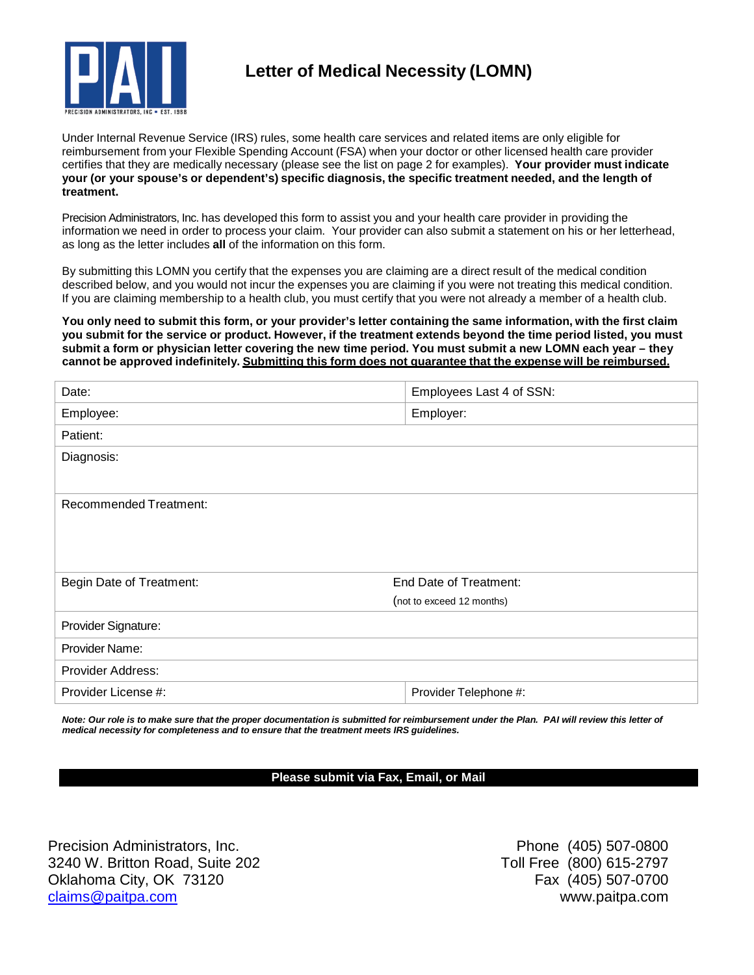

# **Letter of Medical Necessity (LOMN)**

Under Internal Revenue Service (IRS) rules, some health care services and related items are only eligible for reimbursement from your Flexible Spending Account (FSA) when your doctor or other licensed health care provider certifies that they are medically necessary (please see the list on page 2 for examples). **Your provider must indicate your (or your spouse's or dependent's) specific diagnosis, the specific treatment needed, and the length of treatment.**

Precision Administrators, Inc. has developed this form to assist you and your health care provider in providing the information we need in order to process your claim. Your provider can also submit a statement on his or her letterhead, as long as the letter includes **all** of the information on this form.

By submitting this LOMN you certify that the expenses you are claiming are a direct result of the medical condition described below, and you would not incur the expenses you are claiming if you were not treating this medical condition. If you are claiming membership to a health club, you must certify that you were not already a member of a health club.

You only need to submit this form, or your provider's letter containing the same information, with the first claim you submit for the service or product. However, if the treatment extends beyond the time period listed, you must submit a form or physician letter covering the new time period. You must submit a new LOMN each year - they **cannot be approved indefinitely. Submitting this form does not guarantee that the expense will be reimbursed.**

| Date:                         | Employees Last 4 of SSN:  |
|-------------------------------|---------------------------|
| Employee:                     | Employer:                 |
| Patient:                      |                           |
| Diagnosis:                    |                           |
|                               |                           |
| <b>Recommended Treatment:</b> |                           |
|                               |                           |
|                               |                           |
| Begin Date of Treatment:      | End Date of Treatment:    |
|                               | (not to exceed 12 months) |
| Provider Signature:           |                           |
| Provider Name:                |                           |
| Provider Address:             |                           |
| Provider License #:           | Provider Telephone #:     |

Note: Our role is to make sure that the proper documentation is submitted for reimbursement under the Plan. PAI will review this letter of *medical necessity for completeness and to ensure that the treatment meets IRS guidelines.*

### **Please submit via Fax, Email, or Mail**

Precision Administrators, Inc. **Phone (405)** 507-0800 3240 W. Britton Road, Suite 202 Toll Free (800) 615-2797 Oklahoma City, OK 73120 **Fax (405)** 507-0700 [claims@paitpa.com](mailto:claims@paitpa.com) www.paitpa.com